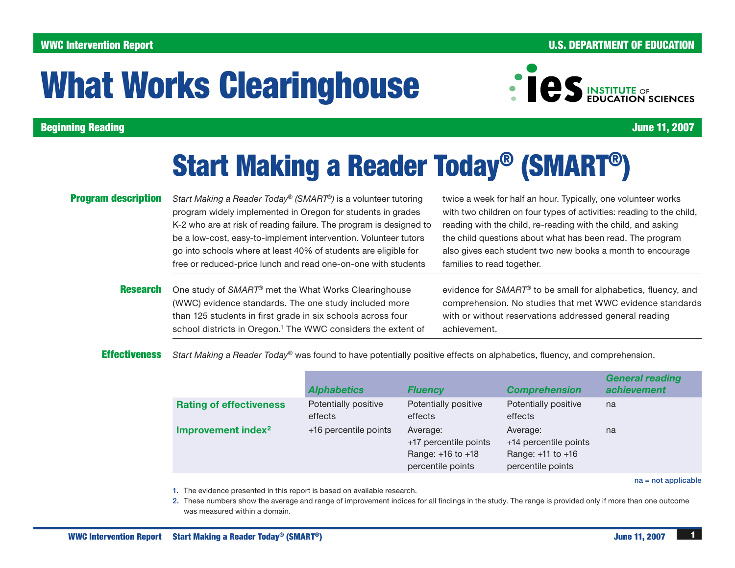# WWC Intervention Report

# U.S. DEPARTMENT OF EDUCATION

# What Works Clearinghouse



Beginning Reading

June 11, 2007

# Start Making a Reader Today® (SMART®)

# Program description

*Start Making a Reader Today*® *(SMART*®*)* is a volunteer tutoring program widely implemented in Oregon for students in grades K-2 who are at risk of reading failure. The program is designed to be a low-cost, easy-to-implement intervention. Volunteer tutors go into schools where at least 40% of students are eligible for free or reduced-price lunch and read one-on-one with students

twice a week for half an hour. Typically, one volunteer works with two children on four types of activities: reading to the child, reading with the child, re-reading with the child, and asking the child questions about what has been read. The program also gives each student two new books a month to encourage families to read together.

Research One study of *SMART*® met the What Works Clearinghouse (WWC) evidence standards. The one study included more than 125 students in first grade in six schools across four school districts in Oregon.<sup>1</sup> The WWC considers the extent of

evidence for *SMART*® to be small for alphabetics, fluency, and comprehension. No studies that met WWC evidence standards with or without reservations addressed general reading achievement.

**Effectiveness** *Start Making a Reader Today*® was found to have potentially positive effects on alphabetics, fluency, and comprehension.

|                                | <b>Alphabetics</b>              | <b>Fluency</b>                                                              | <b>Comprehension</b>                                                        | <b>General reading</b><br>achievement |
|--------------------------------|---------------------------------|-----------------------------------------------------------------------------|-----------------------------------------------------------------------------|---------------------------------------|
| <b>Rating of effectiveness</b> | Potentially positive<br>effects | Potentially positive<br>effects                                             | Potentially positive<br>effects                                             | na                                    |
| Improvement index <sup>2</sup> | +16 percentile points           | Average:<br>+17 percentile points<br>Range: +16 to +18<br>percentile points | Average:<br>+14 percentile points<br>Range: +11 to +16<br>percentile points | na                                    |

na = not applicable

- 1. The evidence presented in this report is based on available research.
- 2. These numbers show the average and range of improvement indices for all findings in the study. The range is provided only if more than one outcome was measured within a domain.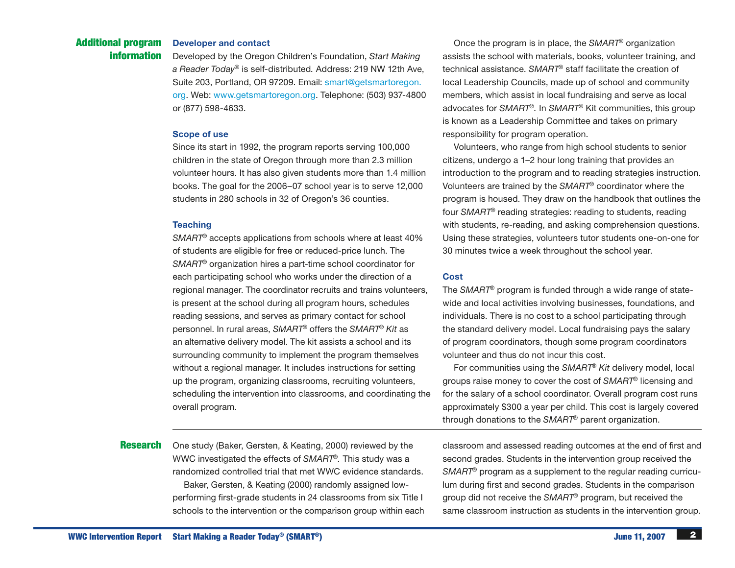# WWC Intervention Report Start Making a Reader Today® (SMART®) 3.1 and 2007 June 11, 2007 June 11, 2007 June 11, 2007

#### Developer and contact Additional program

Developed by the Oregon Children's Foundation, *Start Making a Reader Today*® is self-distributed*.* Address: 219 NW 12th Ave, Suite 203, Portland, OR 97209. Email: [smart@getsmartoregon.](mailto:smart@getsmartoregon.org) [org.](mailto:smart@getsmartoregon.org) Web: www.getsmartoregon.org. Telephone: (503) 937-4800 or (877) 598-4633.

### Scope of use

information

Since its start in 1992, the program reports serving 100,000 children in the state of Oregon through more than 2.3 million volunteer hours. It has also given students more than 1.4 million books. The goal for the 2006–07 school year is to serve 12,000 students in 280 schools in 32 of Oregon's 36 counties.

## **Teaching**

*SMART*® accepts applications from schools where at least 40% of students are eligible for free or reduced-price lunch. The *SMART*® organization hires a part-time school coordinator for each participating school who works under the direction of a regional manager. The coordinator recruits and trains volunteers, is present at the school during all program hours, schedules reading sessions, and serves as primary contact for school personnel. In rural areas, *SMART*® offers the *SMART*® *Kit* as an alternative delivery model. The kit assists a school and its surrounding community to implement the program themselves without a regional manager. It includes instructions for setting up the program, organizing classrooms, recruiting volunteers, scheduling the intervention into classrooms, and coordinating the overall program.

**Research** One study (Baker, Gersten, & Keating, 2000) reviewed by the

WWC investigated the effects of *SMART*®*.* This study was a randomized controlled trial that met WWC evidence standards. Baker, Gersten, & Keating (2000) randomly assigned lowperforming first-grade students in 24 classrooms from six Title I schools to the intervention or the comparison group within each

Once the program is in place, the *SMART*® organization assists the school with materials, books, volunteer training, and technical assistance. *SMART*® staff facilitate the creation of local Leadership Councils, made up of school and community members, which assist in local fundraising and serve as local advocates for *SMART*®*.* In *SMART*® Kit communities, this group is known as a Leadership Committee and takes on primary responsibility for program operation.

Volunteers, who range from high school students to senior citizens, undergo a 1–2 hour long training that provides an introduction to the program and to reading strategies instruction. Volunteers are trained by the *SMART*® coordinator where the program is housed. They draw on the handbook that outlines the four *SMART*® reading strategies: reading to students, reading with students, re-reading, and asking comprehension questions. Using these strategies, volunteers tutor students one-on-one for 30 minutes twice a week throughout the school year.

# **Cost**

The *SMART*® program is funded through a wide range of statewide and local activities involving businesses, foundations, and individuals. There is no cost to a school participating through the standard delivery model. Local fundraising pays the salary of program coordinators, though some program coordinators volunteer and thus do not incur this cost.

For communities using the *SMART*® *Kit* delivery model, local groups raise money to cover the cost of *SMART*® licensing and for the salary of a school coordinator. Overall program cost runs approximately \$300 a year per child. This cost is largely covered through donations to the *SMART*® parent organization.

classroom and assessed reading outcomes at the end of first and second grades. Students in the intervention group received the *SMART*® program as a supplement to the regular reading curriculum during first and second grades. Students in the comparison group did not receive the *SMART*® program, but received the same classroom instruction as students in the intervention group.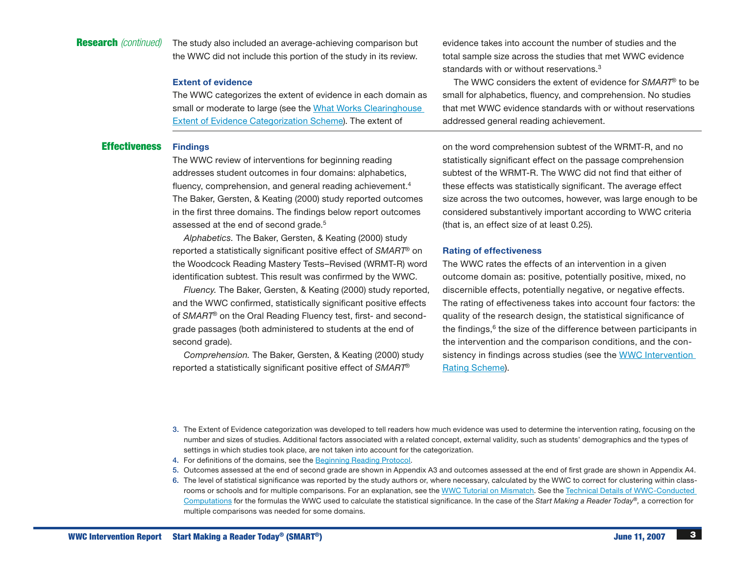# Research *(continued)*

The study also included an average-achieving comparison but the WWC did not include this portion of the study in its review.

#### Extent of evidence

The WWC categorizes the extent of evidence in each domain as small or moderate to large (see the [What Works Clearinghouse](http://whatworks.ed.gov/reviewprocess/extent_evidence.pdf)  [Extent of Evidence Categorization Scheme\)](http://whatworks.ed.gov/reviewprocess/extent_evidence.pdf). The extent of

#### Effectiveness **Findings**

The WWC review of interventions for beginning reading addresses student outcomes in four domains: alphabetics, fluency, comprehension, and general reading achievement.<sup>4</sup> The Baker, Gersten, & Keating (2000) study reported outcomes in the first three domains. The findings below report outcomes assessed at the end of second grade.<sup>5</sup>

*Alphabetics.* The Baker, Gersten, & Keating (2000) study reported a statistically significant positive effect of *SMART*® on the Woodcock Reading Mastery Tests–Revised (WRMT-R) word identification subtest. This result was confirmed by the WWC.

*Fluency.* The Baker, Gersten, & Keating (2000) study reported, and the WWC confirmed, statistically significant positive effects of *SMART*® on the Oral Reading Fluency test, first- and secondgrade passages (both administered to students at the end of second grade).

*Comprehension.* The Baker, Gersten, & Keating (2000) study reported a statistically significant positive effect of *SMART*®

evidence takes into account the number of studies and the total sample size across the studies that met WWC evidence standards with or without reservations.<sup>3</sup>

The WWC considers the extent of evidence for *SMART*® to be small for alphabetics, fluency, and comprehension. No studies that met WWC evidence standards with or without reservations addressed general reading achievement.

on the word comprehension subtest of the WRMT-R, and no statistically significant effect on the passage comprehension subtest of the WRMT-R. The WWC did not find that either of these effects was statistically significant. The average effect size across the two outcomes, however, was large enough to be considered substantively important according to WWC criteria (that is, an effect size of at least 0.25).

#### Rating of effectiveness

The WWC rates the effects of an intervention in a given outcome domain as: positive, potentially positive, mixed, no discernible effects, potentially negative, or negative effects. The rating of effectiveness takes into account four factors: the quality of the research design, the statistical significance of the findings, $6$  the size of the difference between participants in the intervention and the comparison conditions, and the consistency in findings across studies (see the WWC Intervention [Rating Scheme\)](http://whatworks.ed.gov/reviewprocess/rating_scheme.pdf).

- 3. The Extent of Evidence categorization was developed to tell readers how much evidence was used to determine the intervention rating, focusing on the number and sizes of studies. Additional factors associated with a related concept, external validity, such as students' demographics and the types of settings in which studies took place, are not taken into account for the categorization.
- 4. For definitions of the domains, see the [Beginning Reading Protocol.](http://whatworks.ed.gov/reviewprocess/protocols/BR_protocol.pdf)
- 5. Outcomes assessed at the end of second grade are shown in Appendix A3 and outcomes assessed at the end of first grade are shown in Appendix A4.
- 6. The level of statistical significance was reported by the study authors or, where necessary, calculated by the WWC to correct for clustering within class-rooms or schools and for multiple comparisons. For an explanation, see the [WWC Tutorial on Mismatch](http://whatworks.ed.gov/reviewprocess/mismatch.pdf). See the Technical Details of WWC-Conducted [Computations](http://whatworks.ed.gov/reviewprocess/conducted_computations.pdf) for the formulas the WWC used to calculate the statistical significance. In the case of the *Start Making a Reader Today*®*,* a correction for multiple comparisons was needed for some domains.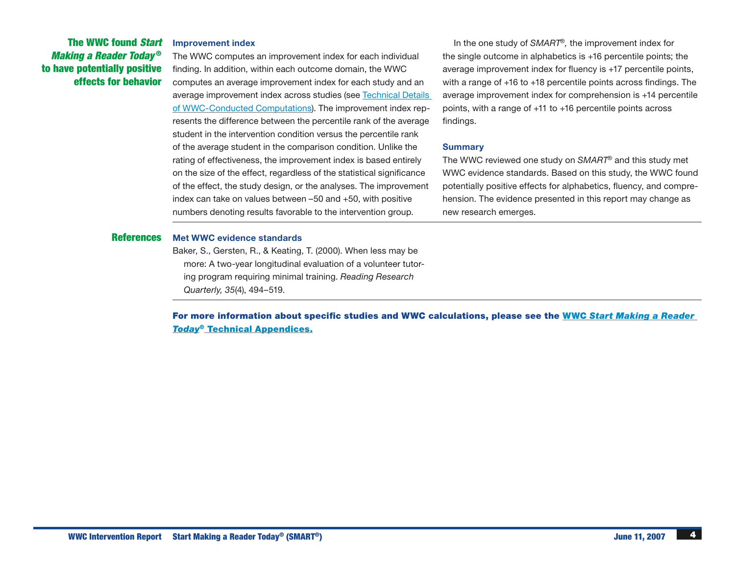# The WWC found *Start Making a Reader Today* ® to have potentially positive effects for behavior

Improvement index

The WWC computes an improvement index for each individual finding. In addition, within each outcome domain, the WWC computes an average improvement index for each study and an average improvement index across studies (se[e Technical Details](http://whatworks.ed.gov/reviewprocess/conducted_computations.pdf)  [of WWC-Conducted Computations\)](http://whatworks.ed.gov/reviewprocess/conducted_computations.pdf). The improvement index represents the difference between the percentile rank of the average student in the intervention condition versus the percentile rank of the average student in the comparison condition. Unlike the rating of effectiveness, the improvement index is based entirely on the size of the effect, regardless of the statistical significance of the effect, the study design, or the analyses. The improvement index can take on values between –50 and +50, with positive numbers denoting results favorable to the intervention group.

In the one study of *SMART*®*,* the improvement index for the single outcome in alphabetics is +16 percentile points; the average improvement index for fluency is +17 percentile points, with a range of +16 to +18 percentile points across findings. The average improvement index for comprehension is +14 percentile points, with a range of +11 to +16 percentile points across findings.

#### Summary

The WWC reviewed one study on *SMART*® and this study met WWC evidence standards. Based on this study, the WWC found potentially positive effects for alphabetics, fluency, and comprehension. The evidence presented in this report may change as new research emerges.

#### References Met WWC evidence standards

Baker, S., Gersten, R., & Keating, T. (2000). When less may be more: A two-year longitudinal evaluation of a volunteer tutoring program requiring minimal training. *Reading Research Quarterly, 35*(4), 494–519.

For more information about specific studies and WWC calculations, please see the WWC *[Start Making a Reader](http://whatworks.ed.gov/PDF/Intervention/techappendix01_374.pdf)  Today*[® Technical Appendices.](http://whatworks.ed.gov/PDF/Intervention/techappendix01_374.pdf)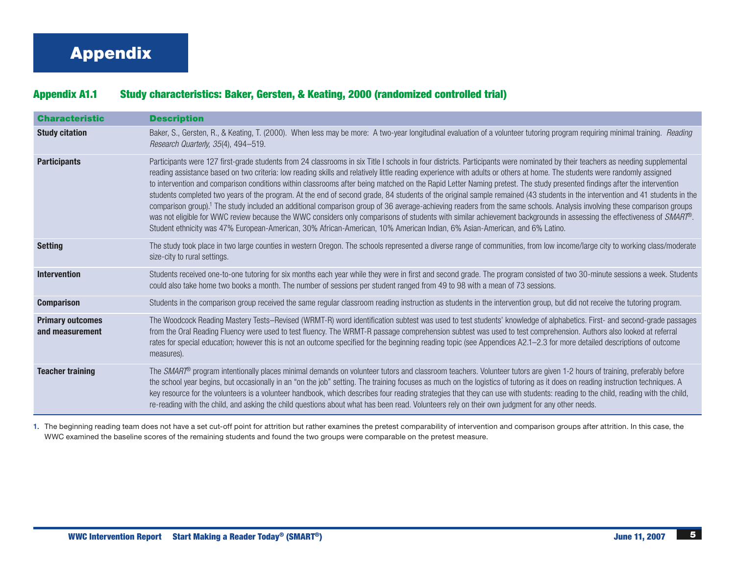# Appendix

# Appendix A1.1 Study characteristics: Baker, Gersten, & Keating, 2000 (randomized controlled trial)

| <b>Characteristic</b>                      | <b>Description</b>                                                                                                                                                                                                                                                                                                                                                                                                                                                                                                                                                                                                                                                                                                                                                                                                                                                                                                                                                                                                                                                                                                                                                                                                |
|--------------------------------------------|-------------------------------------------------------------------------------------------------------------------------------------------------------------------------------------------------------------------------------------------------------------------------------------------------------------------------------------------------------------------------------------------------------------------------------------------------------------------------------------------------------------------------------------------------------------------------------------------------------------------------------------------------------------------------------------------------------------------------------------------------------------------------------------------------------------------------------------------------------------------------------------------------------------------------------------------------------------------------------------------------------------------------------------------------------------------------------------------------------------------------------------------------------------------------------------------------------------------|
| <b>Study citation</b>                      | Baker, S., Gersten, R., & Keating, T. (2000). When less may be more: A two-year longitudinal evaluation of a volunteer tutoring program requiring minimal training. Reading<br>Research Quarterly, 35(4), 494-519.                                                                                                                                                                                                                                                                                                                                                                                                                                                                                                                                                                                                                                                                                                                                                                                                                                                                                                                                                                                                |
| <b>Participants</b>                        | Participants were 127 first-grade students from 24 classrooms in six Title I schools in four districts. Participants were nominated by their teachers as needing supplemental<br>reading assistance based on two criteria: low reading skills and relatively little reading experience with adults or others at home. The students were randomly assigned<br>to intervention and comparison conditions within classrooms after being matched on the Rapid Letter Naming pretest. The study presented findings after the intervention<br>students completed two years of the program. At the end of second grade, 84 students of the original sample remained (43 students in the intervention and 41 students in the<br>comparison group). <sup>1</sup> The study included an additional comparison group of 36 average-achieving readers from the same schools. Analysis involving these comparison groups<br>was not eligible for WWC review because the WWC considers only comparisons of students with similar achievement backgrounds in assessing the effectiveness of SMART®.<br>Student ethnicity was 47% European-American, 30% African-American, 10% American Indian, 6% Asian-American, and 6% Latino. |
| <b>Setting</b>                             | The study took place in two large counties in western Oregon. The schools represented a diverse range of communities, from low income/large city to working class/moderate<br>size-city to rural settings.                                                                                                                                                                                                                                                                                                                                                                                                                                                                                                                                                                                                                                                                                                                                                                                                                                                                                                                                                                                                        |
| <b>Intervention</b>                        | Students received one-to-one tutoring for six months each year while they were in first and second grade. The program consisted of two 30-minute sessions a week. Students<br>could also take home two books a month. The number of sessions per student ranged from 49 to 98 with a mean of 73 sessions.                                                                                                                                                                                                                                                                                                                                                                                                                                                                                                                                                                                                                                                                                                                                                                                                                                                                                                         |
| <b>Comparison</b>                          | Students in the comparison group received the same regular classroom reading instruction as students in the intervention group, but did not receive the tutoring program.                                                                                                                                                                                                                                                                                                                                                                                                                                                                                                                                                                                                                                                                                                                                                                                                                                                                                                                                                                                                                                         |
| <b>Primary outcomes</b><br>and measurement | The Woodcock Reading Mastery Tests-Revised (WRMT-R) word identification subtest was used to test students' knowledge of alphabetics. First- and second-grade passages<br>from the Oral Reading Fluency were used to test fluency. The WRMT-R passage comprehension subtest was used to test comprehension. Authors also looked at referral<br>rates for special education; however this is not an outcome specified for the beginning reading topic (see Appendices A2.1-2.3 for more detailed descriptions of outcome<br>measures).                                                                                                                                                                                                                                                                                                                                                                                                                                                                                                                                                                                                                                                                              |
| <b>Teacher training</b>                    | The SMART® program intentionally places minimal demands on volunteer tutors and classroom teachers. Volunteer tutors are given 1-2 hours of training, preferably before<br>the school year begins, but occasionally in an "on the job" setting. The training focuses as much on the logistics of tutoring as it does on reading instruction techniques. A<br>key resource for the volunteers is a volunteer handbook, which describes four reading strategies that they can use with students: reading to the child, reading with the child,<br>re-reading with the child, and asking the child questions about what has been read. Volunteers rely on their own judgment for any other needs.                                                                                                                                                                                                                                                                                                                                                                                                                                                                                                                    |

1. The beginning reading team does not have a set cut-off point for attrition but rather examines the pretest comparability of intervention and comparison groups after attrition. In this case, the WWC examined the baseline scores of the remaining students and found the two groups were comparable on the pretest measure.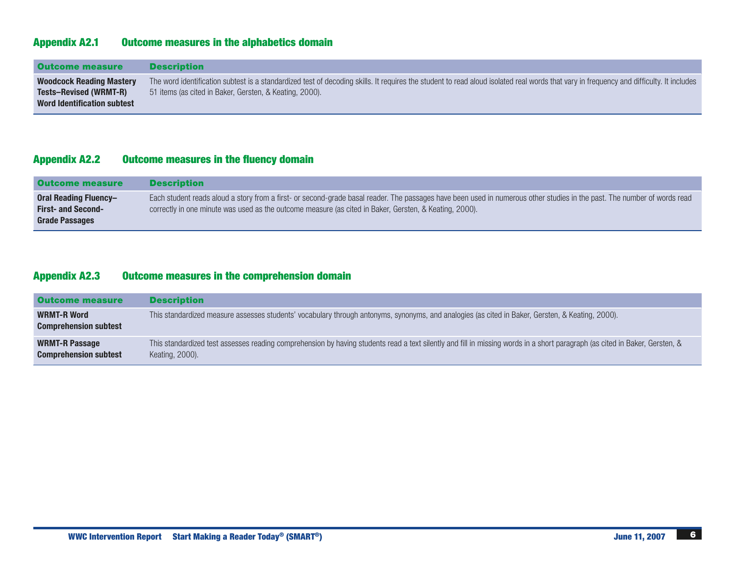# Appendix A2.1 Outcome measures in the alphabetics domain

| <b>Outcome measure</b>                                                                                 | <b>Description</b>                                                                                                                                                                                                                                 |
|--------------------------------------------------------------------------------------------------------|----------------------------------------------------------------------------------------------------------------------------------------------------------------------------------------------------------------------------------------------------|
| <b>Woodcock Reading Mastery</b><br><b>Tests-Revised (WRMT-R)</b><br><b>Word Identification subtest</b> | The word identification subtest is a standardized test of decoding skills. It requires the student to read aloud isolated real words that vary in frequency and difficulty. It includes<br>51 items (as cited in Baker, Gersten, & Keating, 2000). |

# Appendix A2.2 Outcome measures in the fluency domain

| <b>Outcome measure</b>                                                      | <b>Description</b>                                                                                                                                                                                                                                                                 |
|-----------------------------------------------------------------------------|------------------------------------------------------------------------------------------------------------------------------------------------------------------------------------------------------------------------------------------------------------------------------------|
| Oral Reading Fluency-<br><b>First- and Second-</b><br><b>Grade Passages</b> | Each student reads aloud a story from a first- or second-grade basal reader. The passages have been used in numerous other studies in the past. The number of words read<br>correctly in one minute was used as the outcome measure (as cited in Baker, Gersten, & Keating, 2000). |

# Appendix A2.3 Outcome measures in the comprehension domain

| <b>Outcome measure</b>                             | <b>Description</b>                                                                                                                                                                             |
|----------------------------------------------------|------------------------------------------------------------------------------------------------------------------------------------------------------------------------------------------------|
| <b>WRMT-R Word</b><br><b>Comprehension subtest</b> | This standardized measure assesses students' vocabulary through antonyms, synonyms, and analogies (as cited in Baker, Gersten, & Keating, 2000).                                               |
| WRMT-R Passage<br><b>Comprehension subtest</b>     | This standardized test assesses reading comprehension by having students read a text silently and fill in missing words in a short paragraph (as cited in Baker, Gersten, &<br>Keating, 2000). |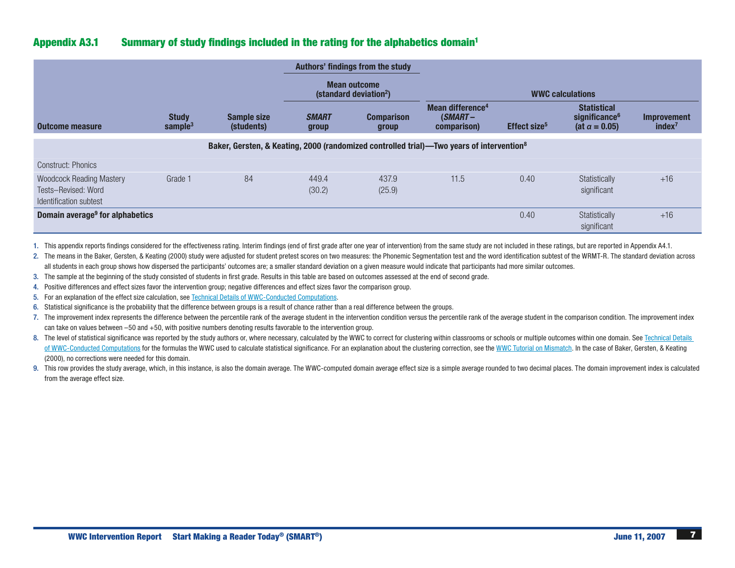# Appendix A3.1 Summary of study findings included in the rating for the alphabetics domain1

|                                                                                  |                            |                                  |                       | Authors' findings from the study                          |                                                                                                      |                          |                                                                          |                                          |
|----------------------------------------------------------------------------------|----------------------------|----------------------------------|-----------------------|-----------------------------------------------------------|------------------------------------------------------------------------------------------------------|--------------------------|--------------------------------------------------------------------------|------------------------------------------|
|                                                                                  |                            |                                  |                       | <b>Mean outcome</b><br>(standard deviation <sup>2</sup> ) |                                                                                                      |                          | <b>WWC calculations</b>                                                  |                                          |
| Outcome measure                                                                  | <b>Study</b><br>sample $3$ | <b>Sample size</b><br>(students) | <b>SMART</b><br>group | <b>Comparison</b><br>group                                | Mean difference <sup>4</sup><br>$(SMART -$<br>comparison)                                            | Effect size <sup>5</sup> | <b>Statistical</b><br>significance <sup>6</sup><br>(at $\alpha = 0.05$ ) | <b>Improvement</b><br>index <sup>7</sup> |
|                                                                                  |                            |                                  |                       |                                                           | Baker, Gersten, & Keating, 2000 (randomized controlled trial)—Two years of intervention <sup>8</sup> |                          |                                                                          |                                          |
| <b>Construct: Phonics</b>                                                        |                            |                                  |                       |                                                           |                                                                                                      |                          |                                                                          |                                          |
| <b>Woodcock Reading Mastery</b><br>Tests-Revised: Word<br>Identification subtest | Grade 1                    | 84                               | 449.4<br>(30.2)       | 437.9<br>(25.9)                                           | 11.5                                                                                                 | 0.40                     | Statistically<br>significant                                             | $+16$                                    |
| Domain average <sup>9</sup> for alphabetics                                      |                            |                                  |                       |                                                           |                                                                                                      | 0.40                     | Statistically<br>significant                                             | $+16$                                    |

1. This appendix reports findings considered for the effectiveness rating. Interim findings (end of first grade after one year of intervention) from the same study are not included in these ratings, but are reported in App

2. The means in the Baker, Gersten, & Keating (2000) study were adjusted for student pretest scores on two measures: the Phonemic Segmentation test and the word identification subtest of the WRMT-R. The standard deviation all students in each group shows how dispersed the participants' outcomes are; a smaller standard deviation on a given measure would indicate that participants had more similar outcomes.

3. The sample at the beginning of the study consisted of students in first grade. Results in this table are based on outcomes assessed at the end of second grade.

4. Positive differences and effect sizes favor the intervention group; negative differences and effect sizes favor the comparison group.

5. For an explanation of the effect size calculation, see Technical Details of [WWC-Conducted](http://whatworks.ed.gov/reviewprocess/conducted_computations.pdf) Computations.

6. Statistical significance is the probability that the difference between groups is a result of chance rather than a real difference between the groups.

7. The improvement index represents the difference between the percentile rank of the average student in the intervention condition versus the percentile rank of the average student in the comparison condition. The improve can take on values between –50 and +50, with positive numbers denoting results favorable to the intervention group.

8. The level of statistical significance was reported by the study authors or, where necessary, calculated by the WWC to correct for clustering within classrooms or schools or multiple outcomes within one domain. See Techn of [WWC-Conducted](http://whatworks.ed.gov/reviewprocess/conducted_computations.pdf) Computations for the formulas the WWC used to calculate statistical significance. For an explanation about the clustering correction, see the WWC Tutorial on [Mismatch](http://whatworks.ed.gov/reviewprocess/mismatch.pdf). In the case of Baker, Gersten, & Keat (2000), no corrections were needed for this domain.

9. This row provides the study average, which, in this instance, is also the domain average. The WWC-computed domain average effect size is a simple average rounded to two decimal places. The domain improvement index is ca from the average effect size.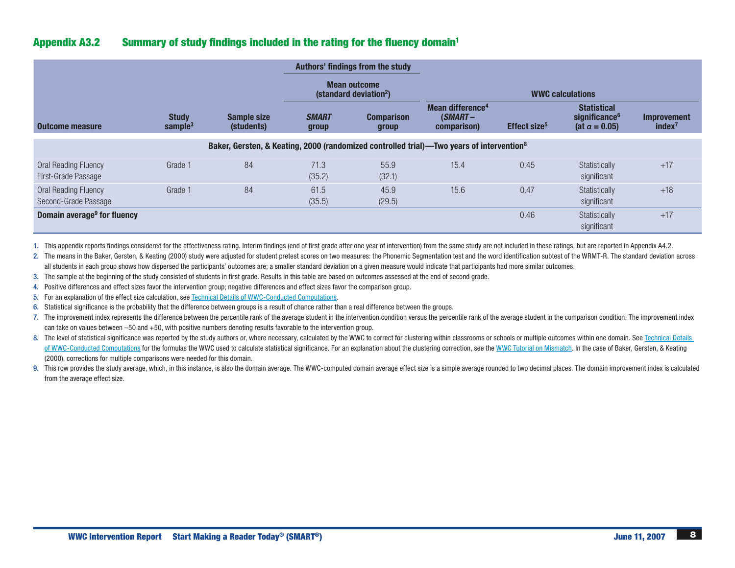# Appendix A3.2 Summary of study findings included in the rating for the fluency domain<sup>1</sup>

|                                                     |                            |                                  |                       | Authors' findings from the study                          |                                                                                                      |                          |                                                                          |                                   |
|-----------------------------------------------------|----------------------------|----------------------------------|-----------------------|-----------------------------------------------------------|------------------------------------------------------------------------------------------------------|--------------------------|--------------------------------------------------------------------------|-----------------------------------|
|                                                     |                            |                                  |                       | <b>Mean outcome</b><br>(standard deviation <sup>2</sup> ) |                                                                                                      |                          | <b>WWC calculations</b>                                                  |                                   |
| Outcome measure                                     | <b>Study</b><br>sample $3$ | <b>Sample size</b><br>(students) | <b>SMART</b><br>group | <b>Comparison</b><br>group                                | Mean difference <sup>4</sup><br>$(SMART -$<br>comparison)                                            | Effect size <sup>5</sup> | <b>Statistical</b><br>significance <sup>6</sup><br>(at $\alpha = 0.05$ ) | Improvement<br>index <sup>7</sup> |
|                                                     |                            |                                  |                       |                                                           | Baker, Gersten, & Keating, 2000 (randomized controlled trial)—Two years of intervention <sup>8</sup> |                          |                                                                          |                                   |
| <b>Oral Reading Fluency</b><br>First-Grade Passage  | Grade 1                    | 84                               | 71.3<br>(35.2)        | 55.9<br>(32.1)                                            | 15.4                                                                                                 | 0.45                     | Statistically<br>significant                                             | $+17$                             |
| <b>Oral Reading Fluency</b><br>Second-Grade Passage | Grade 1                    | 84                               | 61.5<br>(35.5)        | 45.9<br>(29.5)                                            | 15.6                                                                                                 | 0.47                     | Statistically<br>significant                                             | $+18$                             |
| Domain average <sup>9</sup> for fluency             |                            |                                  |                       |                                                           |                                                                                                      | 0.46                     | Statistically<br>significant                                             | $+17$                             |

1. This appendix reports findings considered for the effectiveness rating. Interim findings (end of first grade after one year of intervention) from the same study are not included in these ratings, but are reported in App

2. The means in the Baker, Gersten, & Keating (2000) study were adjusted for student pretest scores on two measures: the Phonemic Segmentation test and the word identification subtest of the WRMT-R. The standard deviation all students in each group shows how dispersed the participants' outcomes are; a smaller standard deviation on a given measure would indicate that participants had more similar outcomes.

3. The sample at the beginning of the study consisted of students in first grade. Results in this table are based on outcomes assessed at the end of second grade.

4. Positive differences and effect sizes favor the intervention group; negative differences and effect sizes favor the comparison group.

5. For an explanation of the effect size calculation, see Technical Details of [WWC-Conducted](http://whatworks.ed.gov/reviewprocess/conducted_computations.pdf) Computations.

6. Statistical significance is the probability that the difference between groups is a result of chance rather than a real difference between the groups.

7. The improvement index represents the difference between the percentile rank of the average student in the intervention condition versus the percentile rank of the average student in the comparison condition. The improve can take on values between –50 and +50, with positive numbers denoting results favorable to the intervention group.

8. The level of statistical significance was reported by the study authors or, where necessary, calculated by the WWC to correct for clustering within classrooms or schools or multiple outcomes within one domain. See Techn of [WWC-Conducted](http://whatworks.ed.gov/reviewprocess/conducted_computations.pdf) Computations for the formulas the WWC used to calculate statistical significance. For an explanation about the clustering correction, see the WWC Tutorial on [Mismatch.](http://whatworks.ed.gov/reviewprocess/mismatch.pdf) In the case of Baker, Gersten, & Keat (2000), corrections for multiple comparisons were needed for this domain.

9. This row provides the study average, which, in this instance, is also the domain average. The WWC-computed domain average effect size is a simple average rounded to two decimal places. The domain improvement index is ca from the average effect size.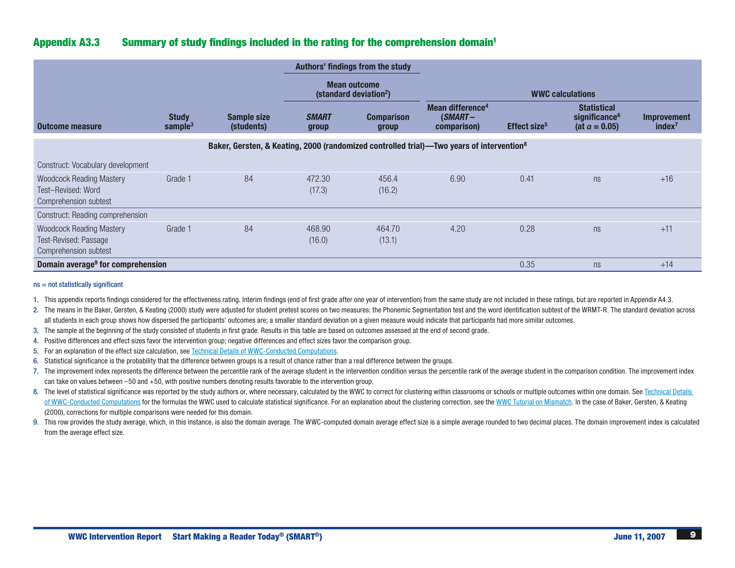# Appendix A3.3 Summary of study findings included in the rating for the comprehension domain1

|                                                                                   |                            |                                                                                                      |                       | Authors' findings from the study                          |                                                           |                          |                                                                          |                                          |
|-----------------------------------------------------------------------------------|----------------------------|------------------------------------------------------------------------------------------------------|-----------------------|-----------------------------------------------------------|-----------------------------------------------------------|--------------------------|--------------------------------------------------------------------------|------------------------------------------|
|                                                                                   |                            |                                                                                                      |                       | <b>Mean outcome</b><br>(standard deviation <sup>2</sup> ) |                                                           |                          | <b>WWC calculations</b>                                                  |                                          |
| <b>Outcome measure</b>                                                            | <b>Study</b><br>sample $3$ | <b>Sample size</b><br>(students)                                                                     | <b>SMART</b><br>group | <b>Comparison</b><br>group                                | Mean difference <sup>4</sup><br>$(SMART -$<br>comparison) | Effect size <sup>5</sup> | <b>Statistical</b><br>significance <sup>6</sup><br>(at $\alpha = 0.05$ ) | <b>Improvement</b><br>index <sup>7</sup> |
|                                                                                   |                            | Baker, Gersten, & Keating, 2000 (randomized controlled trial)—Two years of intervention <sup>8</sup> |                       |                                                           |                                                           |                          |                                                                          |                                          |
| Construct: Vocabulary development                                                 |                            |                                                                                                      |                       |                                                           |                                                           |                          |                                                                          |                                          |
| <b>Woodcock Reading Mastery</b><br>Test-Revised: Word<br>Comprehension subtest    | Grade 1                    | 84                                                                                                   | 472.30<br>(17.3)      | 456.4<br>(16.2)                                           | 6.90                                                      | 0.41                     | ns                                                                       | $+16$                                    |
| Construct: Reading comprehension                                                  |                            |                                                                                                      |                       |                                                           |                                                           |                          |                                                                          |                                          |
| <b>Woodcock Reading Mastery</b><br>Test-Revised: Passage<br>Comprehension subtest | Grade 1                    | 84                                                                                                   | 468.90<br>(16.0)      | 464.70<br>(13.1)                                          | 4.20                                                      | 0.28                     | ns                                                                       | $+11$                                    |
| Domain average <sup>9</sup> for comprehension                                     |                            |                                                                                                      |                       |                                                           |                                                           | 0.35                     | ns                                                                       | $+14$                                    |

#### ns = not statistically significant

- 1. This appendix reports findings considered for the effectiveness rating. Interim findings (end of first grade after one year of intervention) from the same study are not included in these ratings, but are reported in App
- 2. The means in the Baker, Gersten, & Keating (2000) study were adjusted for student pretest scores on two measures: the Phonemic Segmentation test and the word identification subtest of the WRMT-R. The standard deviation all students in each group shows how dispersed the participants' outcomes are; a smaller standard deviation on a given measure would indicate that participants had more similar outcomes.
- 3. The sample at the beginning of the study consisted of students in first grade. Results in this table are based on outcomes assessed at the end of second grade.
- 4. Positive differences and effect sizes favor the intervention group; negative differences and effect sizes favor the comparison group.
- 5. For an explanation of the effect size calculation, see Technical Details of [WWC-Conducted](http://whatworks.ed.gov/reviewprocess/conducted_computations.pdf) Computations.
- 6. Statistical significance is the probability that the difference between groups is a result of chance rather than a real difference between the groups.
- 7. The improvement index represents the difference between the percentile rank of the average student in the intervention condition versus the percentile rank of the average student in the comparison condition. The improve can take on values between –50 and +50, with positive numbers denoting results favorable to the intervention group.
- 8. The level of statistical significance was reported by the study authors or, where necessary, calculated by the WWC to correct for clustering within classrooms or schools or multiple outcomes within one domain. See Techn of [WWC-Conducted](http://whatworks.ed.gov/reviewprocess/conducted_computations.pdf) Computations for the formulas the WWC used to calculate statistical significance. For an explanation about the clustering correction, see the WWC Tutorial on [Mismatch](http://whatworks.ed.gov/reviewprocess/mismatch.pdf). In the case of Baker, Gersten, & Keat (2000), corrections for multiple comparisons were needed for this domain.
- 9. This row provides the study average, which, in this instance, is also the domain average. The WWC-computed domain average effect size is a simple average rounded to two decimal places. The domain improvement index is ca from the average effect size.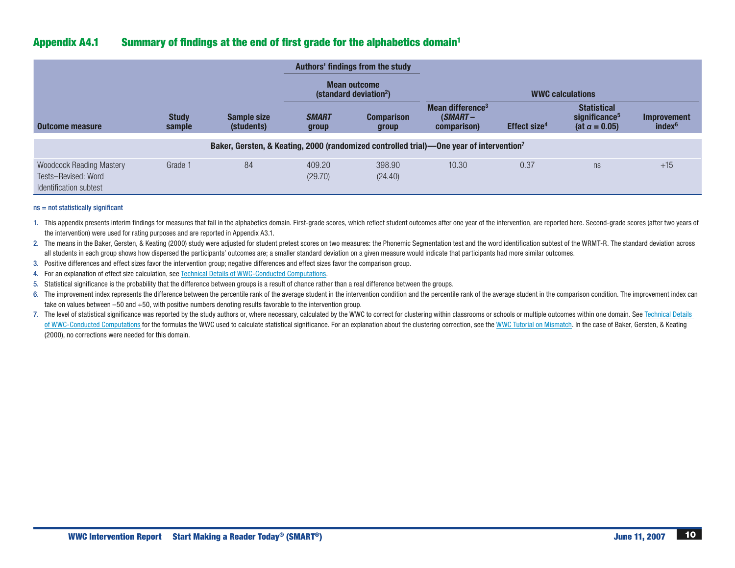# Appendix A4.1 Summary of findings at the end of first grade for the alphabetics domain1

|                                                                                  |                        |                                  |                       | Authors' findings from the study<br><b>Mean outcome</b><br>(standard deviation <sup>2</sup> ) |                                                                                                     |                          | <b>WWC calculations</b>                                                  |                                   |
|----------------------------------------------------------------------------------|------------------------|----------------------------------|-----------------------|-----------------------------------------------------------------------------------------------|-----------------------------------------------------------------------------------------------------|--------------------------|--------------------------------------------------------------------------|-----------------------------------|
| Outcome measure                                                                  | <b>Study</b><br>sample | <b>Sample size</b><br>(students) | <b>SMART</b><br>group | <b>Comparison</b><br>group                                                                    | Mean difference <sup>3</sup><br>$(SMART -$<br>comparison)                                           | Effect size <sup>4</sup> | <b>Statistical</b><br>significance <sup>5</sup><br>(at $\alpha = 0.05$ ) | Improvement<br>index <sup>6</sup> |
|                                                                                  |                        |                                  |                       |                                                                                               | Baker, Gersten, & Keating, 2000 (randomized controlled trial)—One year of intervention <sup>7</sup> |                          |                                                                          |                                   |
| <b>Woodcock Reading Mastery</b><br>Tests-Revised: Word<br>Identification subtest | Grade 1                | 84                               | 409.20<br>(29.70)     | 398.90<br>(24.40)                                                                             | 10.30                                                                                               | 0.37                     | ns                                                                       | $+15$                             |

#### ns = not statistically significant

1. This appendix presents interim findings for measures that fall in the alphabetics domain. First-grade scores, which reflect student outcomes after one year of the intervention, are reported here. Second-grade scores (af the intervention) were used for rating purposes and are reported in Appendix A3.1.

2. The means in the Baker, Gersten, & Keating (2000) study were adjusted for student pretest scores on two measures: the Phonemic Segmentation test and the word identification subtest of the WRMT-R. The standard deviation all students in each group shows how dispersed the participants' outcomes are; a smaller standard deviation on a given measure would indicate that participants had more similar outcomes.

3. Positive differences and effect sizes favor the intervention group; negative differences and effect sizes favor the comparison group.

4. For an explanation of effect size calculation, see Technical Details of [WWC-Conducted](http://whatworks.ed.gov/reviewprocess/conducted_computations.pdf) Computations.

5. Statistical significance is the probability that the difference between groups is a result of chance rather than a real difference between the groups.

6. The improvement index represents the difference between the percentile rank of the average student in the intervention condition and the percentile rank of the average student in the comparison condition. The improvemen take on values between –50 and +50, with positive numbers denoting results favorable to the intervention group.

7. The level of statistical significance was reported by the study authors or, where necessary, calculated by the WWC to correct for clustering within classrooms or schools or multiple outcomes within one domain. See Techn of [WWC-Conducted](http://whatworks.ed.gov/reviewprocess/conducted_computations.pdf) Computations for the formulas the WWC used to calculate statistical significance. For an explanation about the clustering correction, see the WWC Tutorial on [Mismatch](http://whatworks.ed.gov/reviewprocess/mismatch.pdf). In the case of Baker, Gersten, & Keat (2000), no corrections were needed for this domain.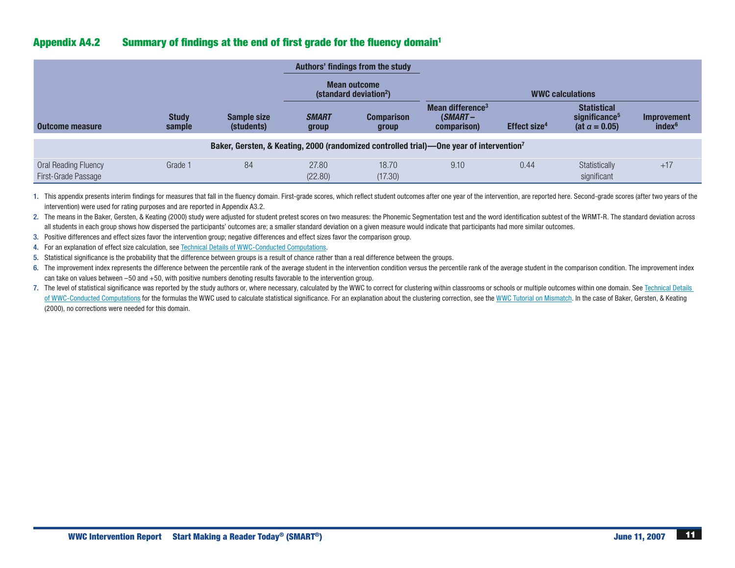# Appendix A4.2 Summary of findings at the end of first grade for the fluency domain1

|                                             |                        |                                  |                       | Authors' findings from the study<br><b>Mean outcome</b><br>(standard deviation <sup>2</sup> ) |                                                                                                     |                          | <b>WWC calculations</b>                                                  |                                          |
|---------------------------------------------|------------------------|----------------------------------|-----------------------|-----------------------------------------------------------------------------------------------|-----------------------------------------------------------------------------------------------------|--------------------------|--------------------------------------------------------------------------|------------------------------------------|
| <b>Outcome measure</b>                      | <b>Study</b><br>sample | <b>Sample size</b><br>(students) | <b>SMART</b><br>group | <b>Comparison</b><br>group                                                                    | Mean difference <sup>3</sup><br>$(SMART -$<br>comparison)                                           | Effect size <sup>4</sup> | <b>Statistical</b><br>significance <sup>5</sup><br>(at $\alpha = 0.05$ ) | <b>Improvement</b><br>index <sup>6</sup> |
|                                             |                        |                                  |                       |                                                                                               | Baker, Gersten, & Keating, 2000 (randomized controlled trial)—One year of intervention <sup>7</sup> |                          |                                                                          |                                          |
| Oral Reading Fluency<br>First-Grade Passage | Grade 1                | 84                               | 27.80<br>(22.80)      | 18.70<br>(17.30)                                                                              | 9.10                                                                                                | 0.44                     | Statistically<br>significant                                             | $+17$                                    |

1. This appendix presents interim findings for measures that fall in the fluency domain. First-grade scores, which reflect student outcomes after one year of the intervention, are reported here. Second-grade scores (after intervention) were used for rating purposes and are reported in Appendix A3.2.

2. The means in the Baker, Gersten, & Keating (2000) study were adjusted for student pretest scores on two measures: the Phonemic Segmentation test and the word identification subtest of the WRMT-R. The standard deviation all students in each group shows how dispersed the participants' outcomes are; a smaller standard deviation on a given measure would indicate that participants had more similar outcomes.

3. Positive differences and effect sizes favor the intervention group; negative differences and effect sizes favor the comparison group.

4. For an explanation of effect size calculation, see Technical Details of [WWC-Conducted](http://whatworks.ed.gov/reviewprocess/conducted_computations.pdf) Computations.

5. Statistical significance is the probability that the difference between groups is a result of chance rather than a real difference between the groups.

6. The improvement index represents the difference between the percentile rank of the average student in the intervention condition versus the percentile rank of the average student in the comparison condition. The improve can take on values between –50 and +50, with positive numbers denoting results favorable to the intervention group.

<sup>7.</sup> The level of statistical significance was reported by the study authors or, where necessary, calculated by the WWC to correct for clustering within classrooms or schools or multiple outcomes within one domain. See Techn of [WWC-Conducted](http://whatworks.ed.gov/reviewprocess/conducted_computations.pdf) Computations for the formulas the WWC used to calculate statistical significance. For an explanation about the clustering correction, see the WWC Tutorial on [Mismatch](http://whatworks.ed.gov/reviewprocess/mismatch.pdf). In the case of Baker, Gersten, & Keat (2000), no corrections were needed for this domain.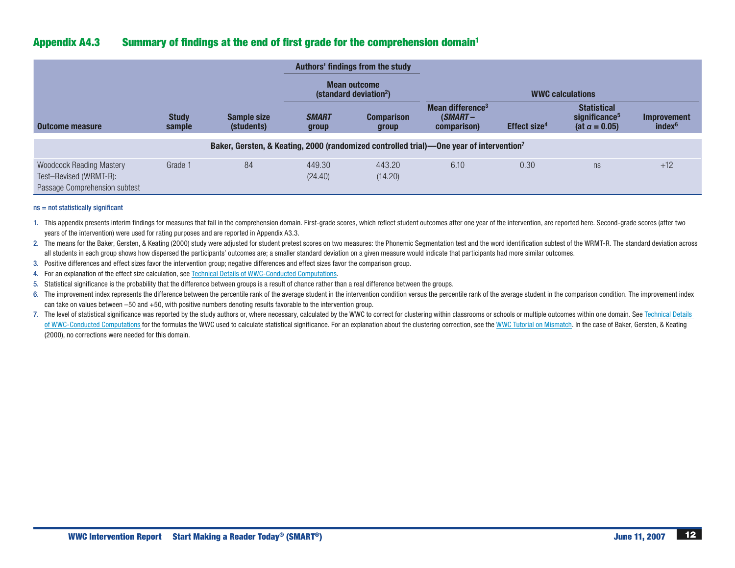# Appendix A4.3 Summary of findings at the end of first grade for the comprehension domain1

|                                                                                            |                        |                                  |                       | Authors' findings from the study<br><b>Mean outcome</b><br>(standard deviation <sup>2</sup> ) |                                                                                                     |                          | <b>WWC calculations</b>                                                  |                                   |
|--------------------------------------------------------------------------------------------|------------------------|----------------------------------|-----------------------|-----------------------------------------------------------------------------------------------|-----------------------------------------------------------------------------------------------------|--------------------------|--------------------------------------------------------------------------|-----------------------------------|
| Outcome measure                                                                            | <b>Study</b><br>sample | <b>Sample size</b><br>(students) | <b>SMART</b><br>group | <b>Comparison</b><br>group                                                                    | Mean difference <sup>3</sup><br>$(SMART -$<br>comparison)                                           | Effect size <sup>4</sup> | <b>Statistical</b><br>significance <sup>5</sup><br>(at $\alpha = 0.05$ ) | Improvement<br>index <sup>6</sup> |
|                                                                                            |                        |                                  |                       |                                                                                               | Baker, Gersten, & Keating, 2000 (randomized controlled trial)—One year of intervention <sup>7</sup> |                          |                                                                          |                                   |
| <b>Woodcock Reading Mastery</b><br>Test-Revised (WRMT-R):<br>Passage Comprehension subtest | Grade 1                | 84                               | 449.30<br>(24.40)     | 443.20<br>(14.20)                                                                             | 6.10                                                                                                | 0.30                     | ns                                                                       | $+12$                             |

#### ns = not statistically significant

1. This appendix presents interim findings for measures that fall in the comprehension domain. First-grade scores, which reflect student outcomes after one year of the intervention, are reported here. Second-grade scores ( years of the intervention) were used for rating purposes and are reported in Appendix A3.3.

2. The means for the Baker, Gersten, & Keating (2000) study were adjusted for student pretest scores on two measures: the Phonemic Segmentation test and the word identification subtest of the WRMT-R. The standard deviation all students in each group shows how dispersed the participants' outcomes are; a smaller standard deviation on a given measure would indicate that participants had more similar outcomes.

- 3. Positive differences and effect sizes favor the intervention group; negative differences and effect sizes favor the comparison group.
- 4. For an explanation of the effect size calculation, see Technical Details of [WWC-Conducted](http://whatworks.ed.gov/reviewprocess/conducted_computations.pdf) Computations.
- 5. Statistical significance is the probability that the difference between groups is a result of chance rather than a real difference between the groups.
- 6. The improvement index represents the difference between the percentile rank of the average student in the intervention condition versus the percentile rank of the average student in the comparison condition. The improve can take on values between –50 and +50, with positive numbers denoting results favorable to the intervention group.
- 7. The level of statistical significance was reported by the study authors or, where necessary, calculated by the WWC to correct for clustering within classrooms or schools or multiple outcomes within one domain. See Techn of [WWC-Conducted](http://whatworks.ed.gov/reviewprocess/conducted_computations.pdf) Computations for the formulas the WWC used to calculate statistical significance. For an explanation about the clustering correction, see the WWC Tutorial on [Mismatch](http://whatworks.ed.gov/reviewprocess/mismatch.pdf). In the case of Baker, Gersten, & Keat (2000), no corrections were needed for this domain.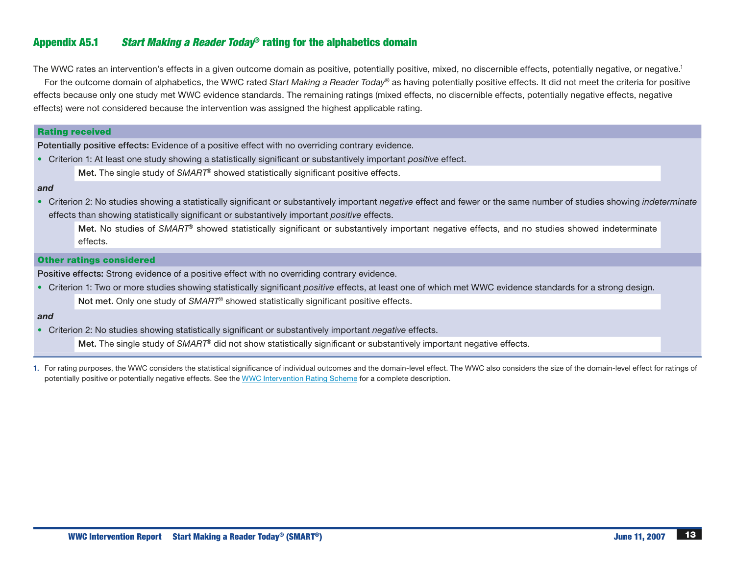# Appendix A5.1 *Start Making a Reader Today*® rating for the alphabetics domain

The WWC rates an intervention's effects in a given outcome domain as positive, potentially positive, mixed, no discernible effects, potentially negative, or negative.<sup>1</sup>

For the outcome domain of alphabetics, the WWC rated *Start Making a Reader Today*® as having potentially positive effects. It did not meet the criteria for positive effects because only one study met WWC evidence standards. The remaining ratings (mixed effects, no discernible effects, potentially negative effects, negative effects) were not considered because the intervention was assigned the highest applicable rating.

# Rating received

Potentially positive effects: Evidence of a positive effect with no overriding contrary evidence.

- • Criterion 1: At least one study showing a statistically significant or substantively important *positive* effect.
	- Met. The single study of *SMART*® showed statistically significant positive effects.

### *and*

• Criterion 2: No studies showing a statistically significant or substantively important *negative* effect and fewer or the same number of studies showing *indeterminate* effects than showing statistically significant or substantively important *positive* effects.

Met. No studies of *SMART*® showed statistically significant or substantively important negative effects, and no studies showed indeterminate effects.

#### Other ratings considered

Positive effects: Strong evidence of a positive effect with no overriding contrary evidence.

• Criterion 1: Two or more studies showing statistically significant *positive* effects, at least one of which met WWC evidence standards for a strong design. Not met. Only one study of *SMART*® showed statistically significant positive effects.

#### *and*

• Criterion 2: No studies showing statistically significant or substantively important *negative* effects.

Met. The single study of *SMART*® did not show statistically significant or substantively important negative effects.

1. For rating purposes, the WWC considers the statistical significance of individual outcomes and the domain-level effect. The WWC also considers the size of the domain-level effect for ratings of potentially positive or potentially negative effects. See the WWC [Intervention](http://whatworks.ed.gov/reviewprocess/rating_scheme.pdf) Rating Scheme for a complete description.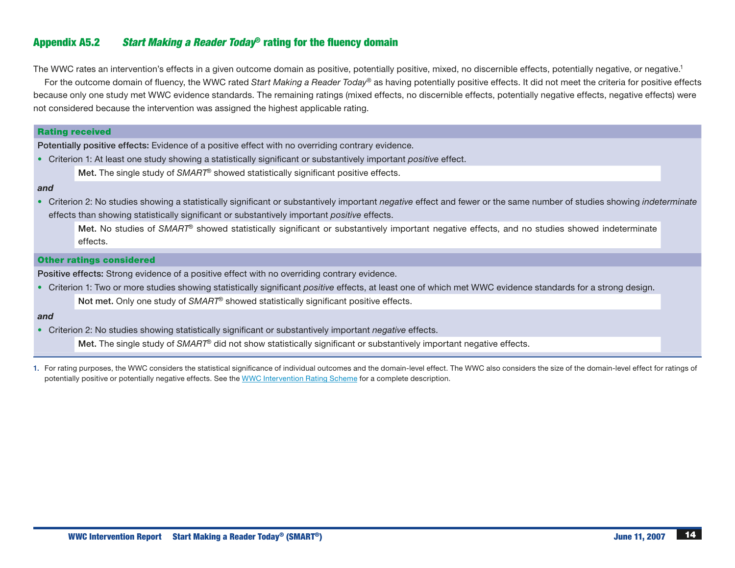# Appendix A5.2 *Start Making a Reader Today*® rating for the fluency domain

The WWC rates an intervention's effects in a given outcome domain as positive, potentially positive, mixed, no discernible effects, potentially negative, or negative.<sup>1</sup>

For the outcome domain of fluency, the WWC rated *Start Making a Reader Today*® as having potentially positive effects. It did not meet the criteria for positive effects because only one study met WWC evidence standards. The remaining ratings (mixed effects, no discernible effects, potentially negative effects, negative effects) were not considered because the intervention was assigned the highest applicable rating.

# Rating received

Potentially positive effects: Evidence of a positive effect with no overriding contrary evidence.

- • Criterion 1: At least one study showing a statistically significant or substantively important *positive* effect.
	- Met. The single study of *SMART*® showed statistically significant positive effects.

### *and*

• Criterion 2: No studies showing a statistically significant or substantively important *negative* effect and fewer or the same number of studies showing *indeterminate* effects than showing statistically significant or substantively important *positive* effects.

Met. No studies of *SMART*® showed statistically significant or substantively important negative effects, and no studies showed indeterminate effects.

#### Other ratings considered

Positive effects: Strong evidence of a positive effect with no overriding contrary evidence.

• Criterion 1: Two or more studies showing statistically significant *positive* effects, at least one of which met WWC evidence standards for a strong design. Not met. Only one study of *SMART*® showed statistically significant positive effects.

#### *and*

• Criterion 2: No studies showing statistically significant or substantively important *negative* effects.

Met. The single study of *SMART*® did not show statistically significant or substantively important negative effects.

1. For rating purposes, the WWC considers the statistical significance of individual outcomes and the domain-level effect. The WWC also considers the size of the domain-level effect for ratings of potentially positive or potentially negative effects. See the WWC [Intervention](http://whatworks.ed.gov/reviewprocess/rating_scheme.pdf) Rating Scheme for a complete description.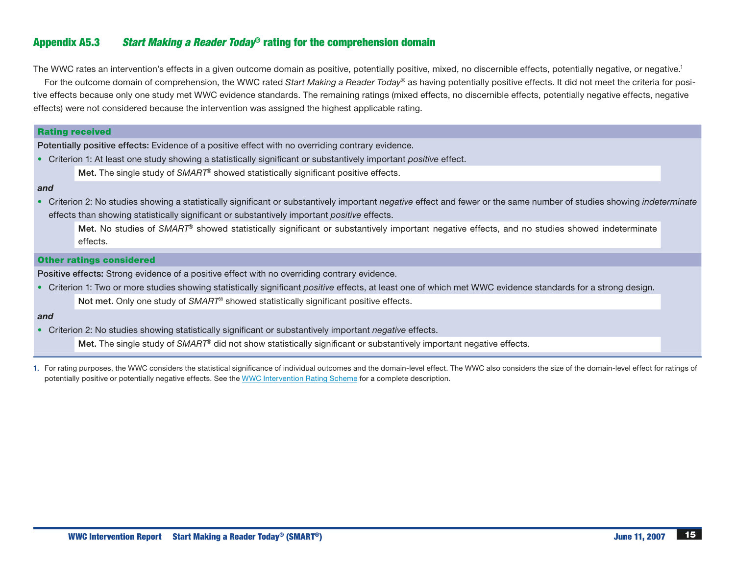# Appendix A5.3 *Start Making a Reader Today*® rating for the comprehension domain

The WWC rates an intervention's effects in a given outcome domain as positive, potentially positive, mixed, no discernible effects, potentially negative, or negative.<sup>1</sup>

For the outcome domain of comprehension, the WWC rated *Start Making a Reader Today*® as having potentially positive effects. It did not meet the criteria for positive effects because only one study met WWC evidence standards. The remaining ratings (mixed effects, no discernible effects, potentially negative effects, negative effects) were not considered because the intervention was assigned the highest applicable rating.

# Rating received

Potentially positive effects: Evidence of a positive effect with no overriding contrary evidence.

- • Criterion 1: At least one study showing a statistically significant or substantively important *positive* effect.
	- Met. The single study of *SMART*® showed statistically significant positive effects.

## *and*

• Criterion 2: No studies showing a statistically significant or substantively important *negative* effect and fewer or the same number of studies showing *indeterminate* effects than showing statistically significant or substantively important *positive* effects.

Met. No studies of *SMART*® showed statistically significant or substantively important negative effects, and no studies showed indeterminate effects.

#### Other ratings considered

Positive effects: Strong evidence of a positive effect with no overriding contrary evidence.

• Criterion 1: Two or more studies showing statistically significant *positive* effects, at least one of which met WWC evidence standards for a strong design. Not met. Only one study of *SMART*® showed statistically significant positive effects.

#### *and*

• Criterion 2: No studies showing statistically significant or substantively important *negative* effects.

Met. The single study of *SMART*® did not show statistically significant or substantively important negative effects.

1. For rating purposes, the WWC considers the statistical significance of individual outcomes and the domain-level effect. The WWC also considers the size of the domain-level effect for ratings of potentially positive or potentially negative effects. See the WWC [Intervention](http://whatworks.ed.gov/reviewprocess/rating_scheme.pdf) Rating Scheme for a complete description.